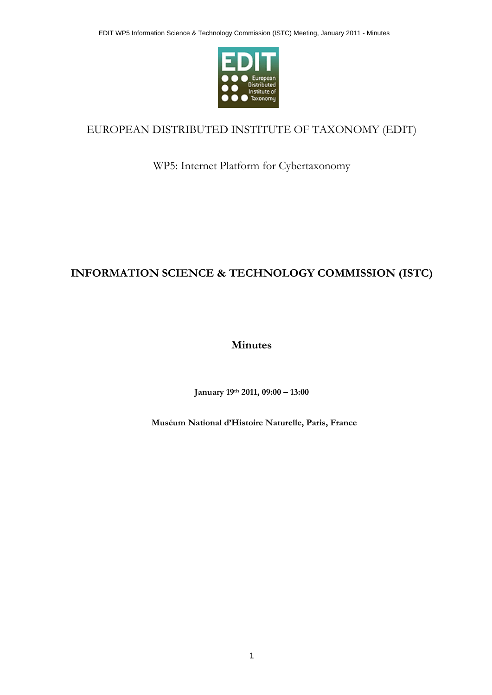

## EUROPEAN DISTRIBUTED INSTITUTE OF TAXONOMY (EDIT)

WP5: Internet Platform for Cybertaxonomy

# **INFORMATION SCIENCE & TECHNOLOGY COMMISSION (ISTC)**

**Minutes** 

**January 19th 2011, 09:00 – 13:00** 

**Muséum National d'Histoire Naturelle, Paris, France**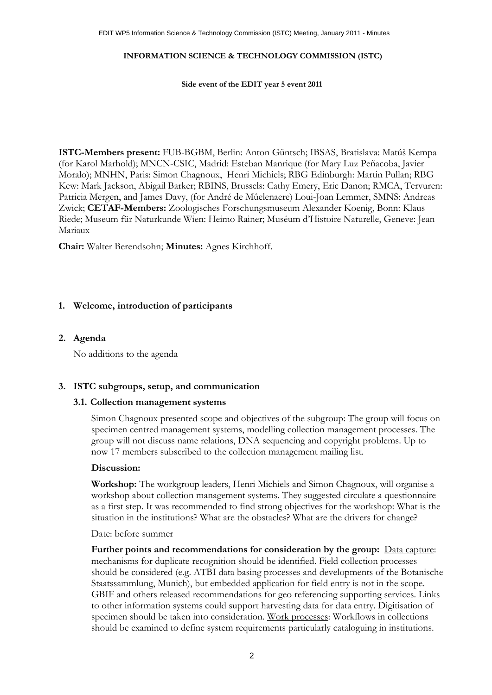#### **INFORMATION SCIENCE & TECHNOLOGY COMMISSION (ISTC)**

**Side event of the EDIT year 5 event 2011** 

**ISTC-Members present:** FUB-BGBM, Berlin: Anton Güntsch; IBSAS, Bratislava: Matúš Kempa (for Karol Marhold); MNCN-CSIC, Madrid: Esteban Manrique (for Mary Luz Peñacoba, Javier Moralo); MNHN, Paris: Simon Chagnoux, Henri Michiels; RBG Edinburgh: Martin Pullan; RBG Kew: Mark Jackson, Abigail Barker; RBINS, Brussels: Cathy Emery, Eric Danon; RMCA, Tervuren: Patricia Mergen, and James Davy, (for André de Mûelenaere) Loui-Joan Lemmer, SMNS: Andreas Zwick; **CETAF-Members:** Zoologisches Forschungsmuseum Alexander Koenig, Bonn: Klaus Riede; Museum für Naturkunde Wien: Heimo Rainer; Muséum d'Histoire Naturelle, Geneve: Jean Mariaux

**Chair:** Walter Berendsohn; **Minutes:** Agnes Kirchhoff.

#### **1. Welcome, introduction of participants**

#### **2. Agenda**

No additions to the agenda

## **3. ISTC subgroups, setup, and communication**

#### **3.1. Collection management systems**

Simon Chagnoux presented scope and objectives of the subgroup: The group will focus on specimen centred management systems, modelling collection management processes. The group will not discuss name relations, DNA sequencing and copyright problems. Up to now 17 members subscribed to the collection management mailing list.

#### **Discussion:**

**Workshop:** The workgroup leaders, Henri Michiels and Simon Chagnoux, will organise a workshop about collection management systems. They suggested circulate a questionnaire as a first step. It was recommended to find strong objectives for the workshop: What is the situation in the institutions? What are the obstacles? What are the drivers for change?

#### Date: before summer

Further points and recommendations for consideration by the group: Data capture: mechanisms for duplicate recognition should be identified. Field collection processes should be considered (e.g. ATBI data basing processes and developments of the Botanische Staatssammlung, Munich), but embedded application for field entry is not in the scope. GBIF and others released recommendations for geo referencing supporting services. Links to other information systems could support harvesting data for data entry. Digitisation of specimen should be taken into consideration. Work processes: Workflows in collections should be examined to define system requirements particularly cataloguing in institutions.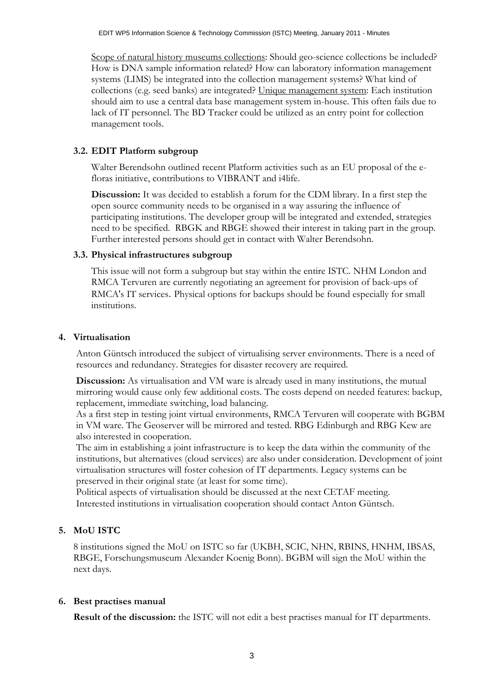Scope of natural history museums collections: Should geo-science collections be included? How is DNA sample information related? How can laboratory information management systems (LIMS) be integrated into the collection management systems? What kind of collections (e.g. seed banks) are integrated? Unique management system: Each institution should aim to use a central data base management system in-house. This often fails due to lack of IT personnel. The BD Tracker could be utilized as an entry point for collection management tools.

## **3.2. EDIT Platform subgroup**

Walter Berendsohn outlined recent Platform activities such as an EU proposal of the efloras initiative, contributions to VIBRANT and i4life.

**Discussion:** It was decided to establish a forum for the CDM library. In a first step the open source community needs to be organised in a way assuring the influence of participating institutions. The developer group will be integrated and extended, strategies need to be specified. RBGK and RBGE showed their interest in taking part in the group. Further interested persons should get in contact with Walter Berendsohn.

## **3.3. Physical infrastructures subgroup**

This issue will not form a subgroup but stay within the entire ISTC. NHM London and RMCA Tervuren are currently negotiating an agreement for provision of back-ups of RMCA's IT services. Physical options for backups should be found especially for small institutions.

## **4. Virtualisation**

Anton Güntsch introduced the subject of virtualising server environments. There is a need of resources and redundancy. Strategies for disaster recovery are required.

**Discussion:** As virtualisation and VM ware is already used in many institutions, the mutual mirroring would cause only few additional costs. The costs depend on needed features: backup, replacement, immediate switching, load balancing.

As a first step in testing joint virtual environments, RMCA Tervuren will cooperate with BGBM in VM ware. The Geoserver will be mirrored and tested. RBG Edinburgh and RBG Kew are also interested in cooperation.

The aim in establishing a joint infrastructure is to keep the data within the community of the institutions, but alternatives (cloud services) are also under consideration. Development of joint virtualisation structures will foster cohesion of IT departments. Legacy systems can be preserved in their original state (at least for some time).

Political aspects of virtualisation should be discussed at the next CETAF meeting. Interested institutions in virtualisation cooperation should contact Anton Güntsch.

## **5. MoU ISTC**

8 institutions signed the MoU on ISTC so far (UKBH, SCIC, NHN, RBINS, HNHM, IBSAS, RBGE, Forschungsmuseum Alexander Koenig Bonn). BGBM will sign the MoU within the next days.

## **6. Best practises manual**

**Result of the discussion:** the ISTC will not edit a best practises manual for IT departments.